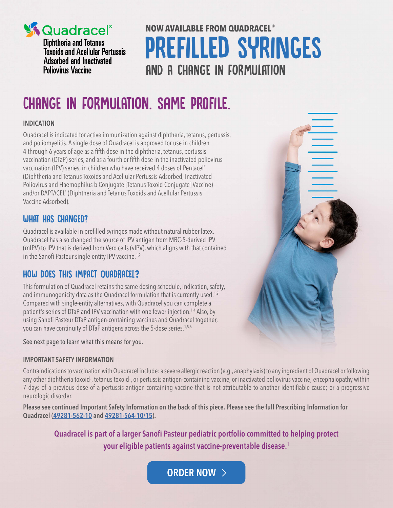

**Expressed and Textures**<br>Toxoids and Acellular Pertussis **Adsorbed and Inactivated Poliovirus Vaccine** 

# **NOW AVAILABLE FROM QUADRACEL**® prefilled syringes AND A CHANGE IN FORMULATION

# CHANGE IN FORMULATION. Same profile.

### **INDICATION**

Quadracel is indicated for active immunization against diphtheria, tetanus, pertussis, and poliomyelitis. A single dose of Quadracel is approved for use in children 4 through 6 years of age as a fifth dose in the diphtheria, tetanus, pertussis vaccination (DTaP) series, and as a fourth or fifth dose in the inactivated poliovirus vaccination (IPV) series, in children who have received 4 doses of Pentacel® (Diphtheria and Tetanus Toxoids and Acellular Pertussis Adsorbed, Inactivated Poliovirus and Haemophilus b Conjugate [Tetanus Toxoid Conjugate] Vaccine) and/or DAPTACEL® (Diphtheria and Tetanus Toxoids and Acellular Pertussis Vaccine Adsorbed).

## WHAT HAS CHANGED?

Quadracel is available in prefilled syringes made without natural rubber latex. Quadracel has also changed the source of IPV antigen from MRC-5-derived IPV (mIPV) to IPV that is derived from Vero cells (vIPV), which aligns with that contained in the Sanofi Pasteur single-entity IPV vaccine.<sup>1,2</sup>

## HOW DOES THIS IMPACT QUADRACEL**?**

This formulation of Quadracel retains the same dosing schedule, indication, safety, and immunogenicity data as the Quadracel formulation that is currently used.<sup>1,2</sup> Compared with single-entity alternatives, with Quadracel you can complete a patient's series of DTaP and IPV vaccination with one fewer injection.<sup>1-4</sup> Also, by using Sanofi Pasteur DTaP antigen-containing vaccines and Quadracel together, you can have continuity of DTaP antigens across the 5-dose series.<sup>1,5,6</sup>

See next page to learn what this means for you.

### **IMPORTANT SAFETY INFORMATION**

Contraindications to vaccination with Quadracel include: a severe allergic reaction (e.g., anaphylaxis) to any ingredient of Quadracel or following any other diphtheria toxoid-, tetanus toxoid-, or pertussis antigen-containing vaccine, or inactivated poliovirus vaccine; encephalopathy within 7 days of a previous dose of a pertussis antigen-containing vaccine that is not attributable to another identifiable cause; or a progressive neurologic disorder.

**Please see continued Important Safety Information on the back of this piece. Please see the full Prescribing Information for Quadracel [\(49281-562-10](http://vaccineshoppe.com/quadracelpi) and [49281-564-10/15\)](http://vaccineshoppe.com/quadracelveropi).**

**Quadracel is part of a larger Sanofi Pasteur pediatric portfolio committed to helping protect your eligible patients against vaccine-preventable disease.**<sup>1</sup>

**[ORDER NOW](https://www.vaccineshoppe.com)**